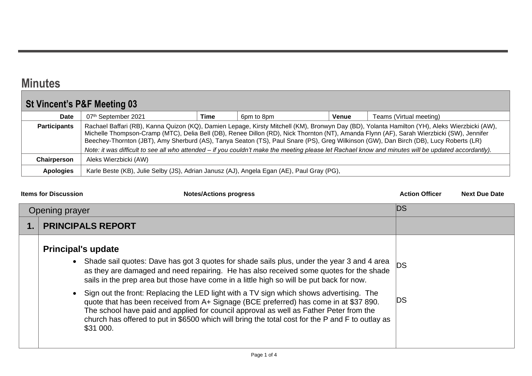## **Minutes**

## **St Vincent's P&F Meeting 03**

| Date                | 07th September 2021                                                                       | Time                                                                                                                                                                                                                                                                                                                                                                                                                                                                                                                                                                                       | 6pm to 8pm | <b>Venue</b> | Teams (Virtual meeting) |
|---------------------|-------------------------------------------------------------------------------------------|--------------------------------------------------------------------------------------------------------------------------------------------------------------------------------------------------------------------------------------------------------------------------------------------------------------------------------------------------------------------------------------------------------------------------------------------------------------------------------------------------------------------------------------------------------------------------------------------|------------|--------------|-------------------------|
| <b>Participants</b> |                                                                                           | Rachael Baffari (RB), Kanna Quizon (KQ), Damien Lepage, Kirsty Mitchell (KM), Bronwyn Day (BD), Yolanta Hamilton (YH), Aleks Wierzbicki (AW),<br>Michelle Thompson-Cramp (MTC), Delia Bell (DB), Renee Dillon (RD), Nick Thornton (NT), Amanda Flynn (AF), Sarah Wierzbicki (SW), Jennifer<br>Beechey-Thornton (JBT), Amy Sherburd (AS), Tanya Seaton (TS), Paul Snare (PS), Greg Wilkinson (GW), Dan Birch (DB), Lucy Roberts (LR)<br>Note: it was difficult to see all who attended – if you couldn't make the meeting please let Rachael know and minutes will be updated accordantly). |            |              |                         |
| Chairperson         | Aleks Wierzbicki (AW)                                                                     |                                                                                                                                                                                                                                                                                                                                                                                                                                                                                                                                                                                            |            |              |                         |
| <b>Apologies</b>    | Karle Beste (KB), Julie Selby (JS), Adrian Janusz (AJ), Angela Egan (AE), Paul Gray (PG), |                                                                                                                                                                                                                                                                                                                                                                                                                                                                                                                                                                                            |            |              |                         |

| <b>Items for Discussion</b><br><b>Notes/Actions progress</b>                                                                                                                                                                                                                                                                                                                                                                                                                                                                                                                                                                                                                                                   | <b>Action Officer</b> | <b>Next Due Date</b> |
|----------------------------------------------------------------------------------------------------------------------------------------------------------------------------------------------------------------------------------------------------------------------------------------------------------------------------------------------------------------------------------------------------------------------------------------------------------------------------------------------------------------------------------------------------------------------------------------------------------------------------------------------------------------------------------------------------------------|-----------------------|----------------------|
| Opening prayer                                                                                                                                                                                                                                                                                                                                                                                                                                                                                                                                                                                                                                                                                                 | <b>DS</b>             |                      |
| <b>PRINCIPALS REPORT</b>                                                                                                                                                                                                                                                                                                                                                                                                                                                                                                                                                                                                                                                                                       |                       |                      |
| <b>Principal's update</b><br>• Shade sail quotes: Dave has got 3 quotes for shade sails plus, under the year 3 and 4 area<br>as they are damaged and need repairing. He has also received some quotes for the shade<br>sails in the prep area but those have come in a little high so will be put back for now.<br>Sign out the front: Replacing the LED light with a TV sign which shows advertising. The<br>quote that has been received from A+ Signage (BCE preferred) has come in at \$37 890.<br>The school have paid and applied for council approval as well as Father Peter from the<br>church has offered to put in \$6500 which will bring the total cost for the P and F to outlay as<br>\$31 000. | <b>DS</b><br>DS       |                      |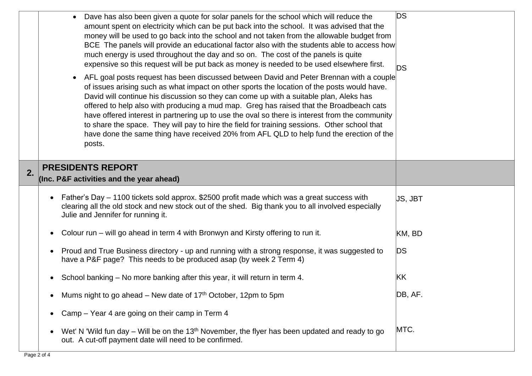|    | Dave has also been given a quote for solar panels for the school which will reduce the<br>amount spent on electricity which can be put back into the school. It was advised that the<br>money will be used to go back into the school and not taken from the allowable budget from<br>BCE The panels will provide an educational factor also with the students able to access how<br>much energy is used throughout the day and so on. The cost of the panels is quite<br>expensive so this request will be put back as money is needed to be used elsewhere first.<br>AFL goal posts request has been discussed between David and Peter Brennan with a couple<br>of issues arising such as what impact on other sports the location of the posts would have.<br>David will continue his discussion so they can come up with a suitable plan, Aleks has<br>offered to help also with producing a mud map. Greg has raised that the Broadbeach cats<br>have offered interest in partnering up to use the oval so there is interest from the community<br>to share the space. They will pay to hire the field for training sessions. Other school that<br>have done the same thing have received 20% from AFL QLD to help fund the erection of the<br>posts. | <b>DS</b><br><b>DS</b> |
|----|------------------------------------------------------------------------------------------------------------------------------------------------------------------------------------------------------------------------------------------------------------------------------------------------------------------------------------------------------------------------------------------------------------------------------------------------------------------------------------------------------------------------------------------------------------------------------------------------------------------------------------------------------------------------------------------------------------------------------------------------------------------------------------------------------------------------------------------------------------------------------------------------------------------------------------------------------------------------------------------------------------------------------------------------------------------------------------------------------------------------------------------------------------------------------------------------------------------------------------------------------------|------------------------|
| 2. | <b>PRESIDENTS REPORT</b><br>(Inc. P&F activities and the year ahead)                                                                                                                                                                                                                                                                                                                                                                                                                                                                                                                                                                                                                                                                                                                                                                                                                                                                                                                                                                                                                                                                                                                                                                                       |                        |
|    | Father's Day - 1100 tickets sold approx. \$2500 profit made which was a great success with<br>clearing all the old stock and new stock out of the shed. Big thank you to all involved especially<br>Julie and Jennifer for running it.                                                                                                                                                                                                                                                                                                                                                                                                                                                                                                                                                                                                                                                                                                                                                                                                                                                                                                                                                                                                                     | JS, JBT                |
|    | Colour run – will go ahead in term 4 with Bronwyn and Kirsty offering to run it.                                                                                                                                                                                                                                                                                                                                                                                                                                                                                                                                                                                                                                                                                                                                                                                                                                                                                                                                                                                                                                                                                                                                                                           | KM, BD                 |
|    | Proud and True Business directory - up and running with a strong response, it was suggested to<br>have a P&F page? This needs to be produced asap (by week 2 Term 4)                                                                                                                                                                                                                                                                                                                                                                                                                                                                                                                                                                                                                                                                                                                                                                                                                                                                                                                                                                                                                                                                                       | <b>DS</b>              |
|    | School banking – No more banking after this year, it will return in term 4.                                                                                                                                                                                                                                                                                                                                                                                                                                                                                                                                                                                                                                                                                                                                                                                                                                                                                                                                                                                                                                                                                                                                                                                | KK                     |
|    | Mums night to go ahead – New date of 17 <sup>th</sup> October, 12pm to 5pm                                                                                                                                                                                                                                                                                                                                                                                                                                                                                                                                                                                                                                                                                                                                                                                                                                                                                                                                                                                                                                                                                                                                                                                 | DB, AF.                |
|    | Camp - Year 4 are going on their camp in Term 4<br>$\bullet$                                                                                                                                                                                                                                                                                                                                                                                                                                                                                                                                                                                                                                                                                                                                                                                                                                                                                                                                                                                                                                                                                                                                                                                               |                        |
|    | Wet' N 'Wild fun day – Will be on the 13 <sup>th</sup> November, the flyer has been updated and ready to go<br>$\bullet$<br>out. A cut-off payment date will need to be confirmed.                                                                                                                                                                                                                                                                                                                                                                                                                                                                                                                                                                                                                                                                                                                                                                                                                                                                                                                                                                                                                                                                         | MTC.                   |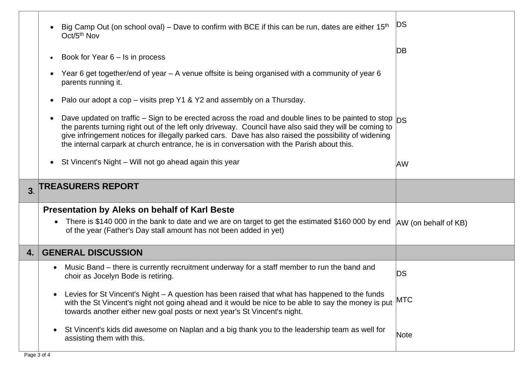|                | Big Camp Out (on school oval) – Dave to confirm with BCE if this can be run, dates are either $15th$<br>Oct/5 <sup>th</sup> Nov                                                                                                                                                                                                                                                                                             | DS                   |
|----------------|-----------------------------------------------------------------------------------------------------------------------------------------------------------------------------------------------------------------------------------------------------------------------------------------------------------------------------------------------------------------------------------------------------------------------------|----------------------|
|                | Book for Year $6 -$ Is in process                                                                                                                                                                                                                                                                                                                                                                                           | DВ                   |
|                | Year 6 get together/end of year – A venue offsite is being organised with a community of year 6<br>parents running it.                                                                                                                                                                                                                                                                                                      |                      |
|                | Palo our adopt a cop – visits prep Y1 & Y2 and assembly on a Thursday.                                                                                                                                                                                                                                                                                                                                                      |                      |
|                | Dave updated on traffic – Sign to be erected across the road and double lines to be painted to stop $ DS $<br>the parents turning right out of the left only driveway. Council have also said they will be coming to<br>give infringement notices for illegally parked cars. Dave has also raised the possibility of widening<br>the internal carpark at church entrance, he is in conversation with the Parish about this. |                      |
|                | St Vincent's Night – Will not go ahead again this year<br>$\bullet$                                                                                                                                                                                                                                                                                                                                                         | AW                   |
| 3 <sub>l</sub> | <b>TREASURERS REPORT</b>                                                                                                                                                                                                                                                                                                                                                                                                    |                      |
|                |                                                                                                                                                                                                                                                                                                                                                                                                                             |                      |
|                |                                                                                                                                                                                                                                                                                                                                                                                                                             |                      |
|                | Presentation by Aleks on behalf of Karl Beste<br>There is \$140 000 in the bank to date and we are on target to get the estimated \$160 000 by end<br>$\bullet$<br>of the year (Father's Day stall amount has not been added in yet)                                                                                                                                                                                        | AW (on behalf of KB) |
| 4.             | <b>GENERAL DISCUSSION</b>                                                                                                                                                                                                                                                                                                                                                                                                   |                      |
|                | Music Band – there is currently recruitment underway for a staff member to run the band and<br>$\bullet$<br>choir as Jocelyn Bode is retiring.                                                                                                                                                                                                                                                                              | DS                   |
|                | Levies for St Vincent's Night - A question has been raised that what has happened to the funds<br>with the St Vincent's night not going ahead and it would be nice to be able to say the money is put<br>towards another either new goal posts or next year's St Vincent's night.                                                                                                                                           | <b>MTC</b>           |